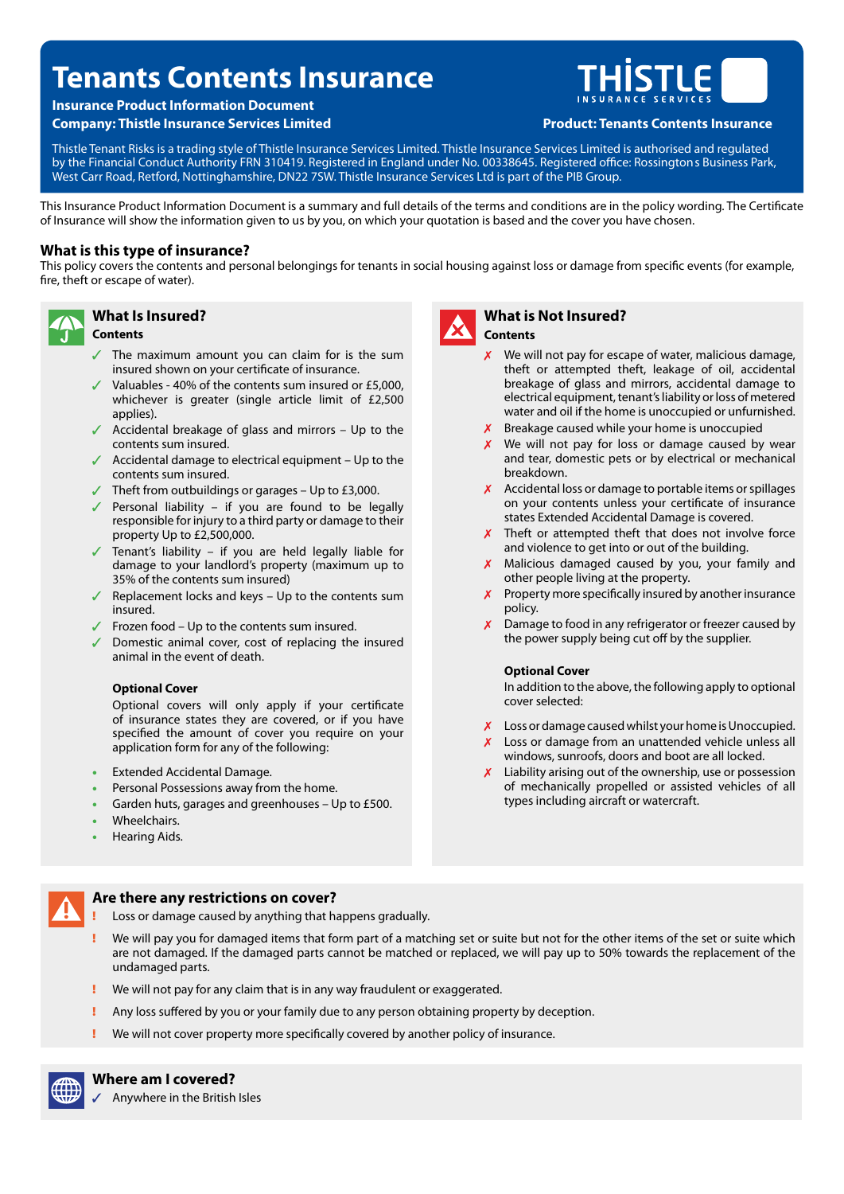# **Tenants Contents Insurance**

# **Insurance Product Information Document**

**Company: Thistle Insurance Services Limited Product: Tenants Contents Insurance** 



Thistle Tenant Risks is a trading style of Thistle Insurance Services Limited. Thistle Insurance Services Limited is authorised and regulated by the Financial Conduct Authority FRN 310419. Registered in England under No. 00338645. Registered office: Rossington s Business Park, West Carr Road, Retford, Nottinghamshire, DN22 7SW. Thistle Insurance Services Ltd is part of the PIB Group.

This Insurance Product Information Document is a summary and full details of the terms and conditions are in the policy wording. The Certifcate of Insurance will show the information given to us by you, on which your quotation is based and the cover you have chosen.

# **What is this type of insurance?**

**What Is Insured?** 

This policy covers the contents and personal belongings for tenants in social housing against loss or damage from specifc events (for example, fre, theft or escape of water).



# **Contents**

- The maximum amount you can claim for is the sum insured shown on your certifcate of insurance.
- $\checkmark$  Valuables 40% of the contents sum insured or £5,000, whichever is greater (single article limit of £2,500 applies).
- Accidental breakage of glass and mirrors Up to the contents sum insured.
- $\sqrt{ }$  Accidental damage to electrical equipment Up to the contents sum insured.
- $\checkmark$  Theft from outbuildings or garages Up to £3,000.
- Personal liability if you are found to be legally responsible for injury to a third party or damage to their property Up to £2,500,000.
- Tenant's liability if you are held legally liable for damage to your landlord's property (maximum up to 35% of the contents sum insured)
- Replacement locks and keys  $-$  Up to the contents sum insured.
- $\sqrt{ }$  Frozen food Up to the contents sum insured.
- Domestic animal cover, cost of replacing the insured animal in the event of death.

#### **Optional Cover**

Optional covers will only apply if your certifcate of insurance states they are covered, or if you have specifed the amount of cover you require on your application form for any of the following:

- Extended Accidental Damage.
- Personal Possessions away from the home.
- Garden huts, garages and greenhouses Up to £500.
- **Wheelchairs**
- Hearing Aids.



### **What is Not Insured? Contents**

- We will not pay for escape of water, malicious damage, theft or attempted theft, leakage of oil, accidental breakage of glass and mirrors, accidental damage to electrical equipment, tenant's liability or loss of metered water and oil if the home is unoccupied or unfurnished.
- Breakage caused while your home is unoccupied
- $X$  We will not pay for loss or damage caused by wear and tear, domestic pets or by electrical or mechanical breakdown.
- $X$  Accidental loss or damage to portable items or spillages on your contents unless your certifcate of insurance states Extended Accidental Damage is covered.
- $\times$  Theft or attempted theft that does not involve force and violence to get into or out of the building.
- $x$  Malicious damaged caused by you, your family and other people living at the property.
- $\chi$  Property more specifically insured by another insurance policy.
- $\chi$  Damage to food in any refrigerator or freezer caused by the power supply being cut off by the supplier.

#### **Optional Cover**

In addition to the above, the following apply to optional cover selected:

- X Loss or damage caused whilst your home is Unoccupied.
- X Loss or damage from an unattended vehicle unless all windows, sunroofs, doors and boot are all locked.
- $X$  Liability arising out of the ownership, use or possession of mechanically propelled or assisted vehicles of all types including aircraft or watercraft.

# **Are there any restrictions on cover?**

- Loss or damage caused by anything that happens gradually.
- We will pay you for damaged items that form part of a matching set or suite but not for the other items of the set or suite which are not damaged. If the damaged parts cannot be matched or replaced, we will pay up to 50% towards the replacement of the undamaged parts.
- We will not pay for any claim that is in any way fraudulent or exaggerated.
- Any loss suffered by you or your family due to any person obtaining property by deception.
- We will not cover property more specifically covered by another policy of insurance.



**Where am I covered?** 

Anywhere in the British Isles